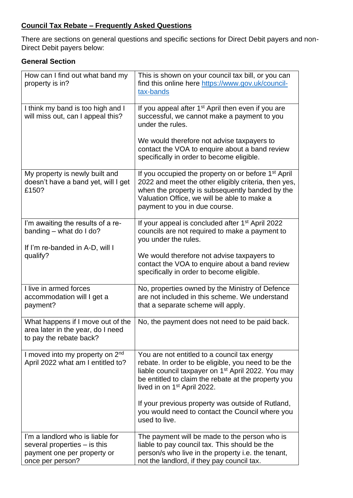## **Council Tax Rebate – Frequently Asked Questions**

There are sections on general questions and specific sections for Direct Debit payers and non-Direct Debit payers below:

## **General Section**

| How can I find out what band my<br>property is in?                                                                    | This is shown on your council tax bill, or you can<br>find this online here https://www.gov.uk/council-<br>tax-bands                                                                                                                                                    |
|-----------------------------------------------------------------------------------------------------------------------|-------------------------------------------------------------------------------------------------------------------------------------------------------------------------------------------------------------------------------------------------------------------------|
| I think my band is too high and I<br>will miss out, can I appeal this?                                                | If you appeal after 1 <sup>st</sup> April then even if you are<br>successful, we cannot make a payment to you<br>under the rules.                                                                                                                                       |
|                                                                                                                       | We would therefore not advise taxpayers to<br>contact the VOA to enquire about a band review<br>specifically in order to become eligible.                                                                                                                               |
| My property is newly built and<br>doesn't have a band yet, will I get<br>£150?                                        | If you occupied the property on or before 1 <sup>st</sup> April<br>2022 and meet the other eligibly criteria, then yes,<br>when the property is subsequently banded by the<br>Valuation Office, we will be able to make a<br>payment to you in due course.              |
| I'm awaiting the results of a re-<br>banding - what do I do?<br>If I'm re-banded in A-D, will I                       | If your appeal is concluded after 1 <sup>st</sup> April 2022<br>councils are not required to make a payment to<br>you under the rules.                                                                                                                                  |
| qualify?                                                                                                              | We would therefore not advise taxpayers to<br>contact the VOA to enquire about a band review<br>specifically in order to become eligible.                                                                                                                               |
| I live in armed forces<br>accommodation will I get a<br>payment?                                                      | No, properties owned by the Ministry of Defence<br>are not included in this scheme. We understand<br>that a separate scheme will apply.                                                                                                                                 |
| What happens if I move out of the<br>area later in the year, do I need<br>to pay the rebate back?                     | No, the payment does not need to be paid back.                                                                                                                                                                                                                          |
| I moved into my property on 2nd<br>April 2022 what am I entitled to?                                                  | You are not entitled to a council tax energy<br>rebate. In order to be eligible, you need to be the<br>liable council taxpayer on 1 <sup>st</sup> April 2022. You may<br>be entitled to claim the rebate at the property you<br>lived in on 1 <sup>st</sup> April 2022. |
|                                                                                                                       | If your previous property was outside of Rutland,<br>you would need to contact the Council where you<br>used to live.                                                                                                                                                   |
| I'm a landlord who is liable for<br>several properties $-$ is this<br>payment one per property or<br>once per person? | The payment will be made to the person who is<br>liable to pay council tax. This should be the<br>person/s who live in the property i.e. the tenant,<br>not the landlord, if they pay council tax.                                                                      |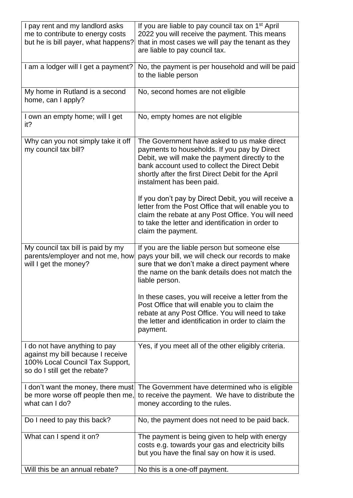| I pay rent and my landlord asks<br>me to contribute to energy costs<br>but he is bill payer, what happens?                             | If you are liable to pay council tax on 1 <sup>st</sup> April<br>2022 you will receive the payment. This means<br>that in most cases we will pay the tenant as they<br>are liable to pay council tax.                                                                              |  |  |
|----------------------------------------------------------------------------------------------------------------------------------------|------------------------------------------------------------------------------------------------------------------------------------------------------------------------------------------------------------------------------------------------------------------------------------|--|--|
| I am a lodger will I get a payment?                                                                                                    | No, the payment is per household and will be paid<br>to the liable person                                                                                                                                                                                                          |  |  |
| My home in Rutland is a second<br>home, can I apply?                                                                                   | No, second homes are not eligible                                                                                                                                                                                                                                                  |  |  |
| I own an empty home; will I get<br>it?                                                                                                 | No, empty homes are not eligible                                                                                                                                                                                                                                                   |  |  |
| Why can you not simply take it off<br>my council tax bill?                                                                             | The Government have asked to us make direct<br>payments to households. If you pay by Direct<br>Debit, we will make the payment directly to the<br>bank account used to collect the Direct Debit<br>shortly after the first Direct Debit for the April<br>instalment has been paid. |  |  |
|                                                                                                                                        | If you don't pay by Direct Debit, you will receive a<br>letter from the Post Office that will enable you to<br>claim the rebate at any Post Office. You will need<br>to take the letter and identification in order to<br>claim the payment.                                       |  |  |
| My council tax bill is paid by my<br>parents/employer and not me, how<br>will I get the money?                                         | If you are the liable person but someone else<br>pays your bill, we will check our records to make<br>sure that we don't make a direct payment where<br>the name on the bank details does not match the<br>liable person.                                                          |  |  |
|                                                                                                                                        | In these cases, you will receive a letter from the<br>Post Office that will enable you to claim the<br>rebate at any Post Office. You will need to take<br>the letter and identification in order to claim the<br>payment.                                                         |  |  |
| I do not have anything to pay<br>against my bill because I receive<br>100% Local Council Tax Support,<br>so do I still get the rebate? | Yes, if you meet all of the other eligibly criteria.                                                                                                                                                                                                                               |  |  |
| I don't want the money, there must<br>be more worse off people then me,<br>what can I do?                                              | The Government have determined who is eligible<br>to receive the payment. We have to distribute the<br>money according to the rules.                                                                                                                                               |  |  |
| Do I need to pay this back?                                                                                                            | No, the payment does not need to be paid back.                                                                                                                                                                                                                                     |  |  |
| What can I spend it on?                                                                                                                | The payment is being given to help with energy<br>costs e.g. towards your gas and electricity bills<br>but you have the final say on how it is used.                                                                                                                               |  |  |
| Will this be an annual rebate?                                                                                                         | No this is a one-off payment.                                                                                                                                                                                                                                                      |  |  |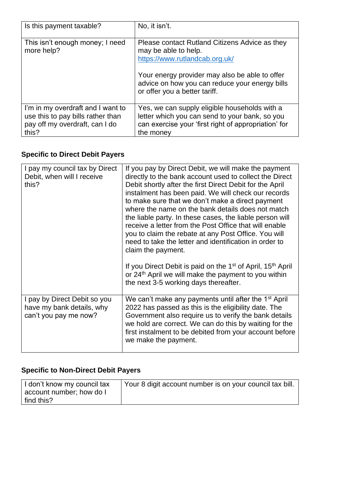| Is this payment taxable?                                                                                          | No, it isn't.                                                                                                                                                                                                                                 |
|-------------------------------------------------------------------------------------------------------------------|-----------------------------------------------------------------------------------------------------------------------------------------------------------------------------------------------------------------------------------------------|
| This isn't enough money; I need<br>more help?                                                                     | Please contact Rutland Citizens Advice as they<br>may be able to help.<br>https://www.rutlandcab.org.uk/<br>Your energy provider may also be able to offer<br>advice on how you can reduce your energy bills<br>or offer you a better tariff. |
| I'm in my overdraft and I want to<br>use this to pay bills rather than<br>pay off my overdraft, can I do<br>this? | Yes, we can supply eligible households with a<br>letter which you can send to your bank, so you<br>can exercise your 'first right of appropriation' for<br>the money                                                                          |

## **Specific to Direct Debit Payers**

| I pay my council tax by Direct<br>Debit, when will I receive<br>this?              | If you pay by Direct Debit, we will make the payment<br>directly to the bank account used to collect the Direct<br>Debit shortly after the first Direct Debit for the April<br>instalment has been paid. We will check our records<br>to make sure that we don't make a direct payment<br>where the name on the bank details does not match<br>the liable party. In these cases, the liable person will<br>receive a letter from the Post Office that will enable<br>you to claim the rebate at any Post Office. You will<br>need to take the letter and identification in order to<br>claim the payment.<br>If you Direct Debit is paid on the 1 <sup>st</sup> of April, 15 <sup>th</sup> April<br>or 24 <sup>th</sup> April we will make the payment to you within<br>the next 3-5 working days thereafter. |
|------------------------------------------------------------------------------------|---------------------------------------------------------------------------------------------------------------------------------------------------------------------------------------------------------------------------------------------------------------------------------------------------------------------------------------------------------------------------------------------------------------------------------------------------------------------------------------------------------------------------------------------------------------------------------------------------------------------------------------------------------------------------------------------------------------------------------------------------------------------------------------------------------------|
| I pay by Direct Debit so you<br>have my bank details, why<br>can't you pay me now? | We can't make any payments until after the 1 <sup>st</sup> April<br>2022 has passed as this is the eligibility date. The<br>Government also require us to verify the bank details<br>we hold are correct. We can do this by waiting for the<br>first instalment to be debited from your account before<br>we make the payment.                                                                                                                                                                                                                                                                                                                                                                                                                                                                                |

## **Specific to Non-Direct Debit Payers**

| I don't know my council tax | Your 8 digit account number is on your council tax bill. |
|-----------------------------|----------------------------------------------------------|
| account number; how do I    |                                                          |
| find this?                  |                                                          |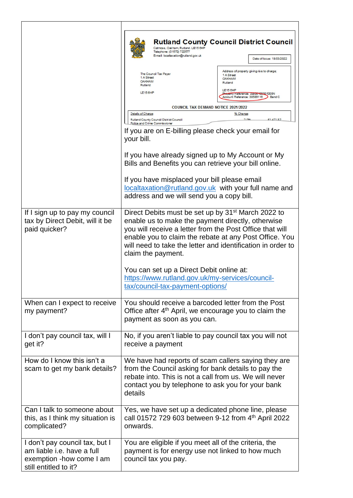|                                                                                                                   |                                                    | Catmose, Oakham, Rutland. LE15 6HF<br>Telephone: (01572) 722577<br>E-mail: localtaxation@rutland.gov.uk                           | <b>Rutland County Council District Council</b><br>Date of Issue: 18/03/2022                                                                                                                                                                                                                              |
|-------------------------------------------------------------------------------------------------------------------|----------------------------------------------------|-----------------------------------------------------------------------------------------------------------------------------------|----------------------------------------------------------------------------------------------------------------------------------------------------------------------------------------------------------------------------------------------------------------------------------------------------------|
|                                                                                                                   | 1 A Street<br><b>OAKHAM</b><br>Rutland<br>LE15 6HP | The Council Tax Payer                                                                                                             | Address of property giving rise to charge;<br>1 A Street<br><b>OAKHAM</b><br>Rutland<br>LE15 6HP<br>Property Reference: 33800 10900 1000N                                                                                                                                                                |
|                                                                                                                   |                                                    |                                                                                                                                   | Account Reference: 30589116<br>Band C                                                                                                                                                                                                                                                                    |
|                                                                                                                   | Details of Charge                                  | <b>COUNCIL TAX DEMAND NOTICE 2021/2022</b>                                                                                        | % Change                                                                                                                                                                                                                                                                                                 |
|                                                                                                                   |                                                    | Rutland County Council District Council<br>Police and Crime Commissioner                                                          | 200<br>£1.471.87                                                                                                                                                                                                                                                                                         |
|                                                                                                                   | your bill.                                         | If you are on E-billing please check your email for                                                                               |                                                                                                                                                                                                                                                                                                          |
|                                                                                                                   |                                                    | Bills and Benefits you can retrieve your bill online.                                                                             | If you have already signed up to My Account or My                                                                                                                                                                                                                                                        |
|                                                                                                                   |                                                    | If you have misplaced your bill please email<br>address and we will send you a copy bill.                                         | localtaxation@rutland.gov.uk with your full name and                                                                                                                                                                                                                                                     |
| If I sign up to pay my council<br>tax by Direct Debit, will it be<br>paid quicker?                                |                                                    | claim the payment.                                                                                                                | Direct Debits must be set up by 31 <sup>st</sup> March 2022 to<br>enable us to make the payment directly, otherwise<br>you will receive a letter from the Post Office that will<br>enable you to claim the rebate at any Post Office. You<br>will need to take the letter and identification in order to |
|                                                                                                                   |                                                    | You can set up a Direct Debit online at:<br>https://www.rutland.gov.uk/my-services/council-<br>tax/council-tax-payment-options/   |                                                                                                                                                                                                                                                                                                          |
| When can I expect to receive<br>my payment?                                                                       |                                                    | payment as soon as you can.                                                                                                       | You should receive a barcoded letter from the Post<br>Office after 4 <sup>th</sup> April, we encourage you to claim the                                                                                                                                                                                  |
| I don't pay council tax, will I<br>get it?                                                                        |                                                    | receive a payment                                                                                                                 | No, if you aren't liable to pay council tax you will not                                                                                                                                                                                                                                                 |
| How do I know this isn't a<br>scam to get my bank details?                                                        | details                                            |                                                                                                                                   | We have had reports of scam callers saying they are<br>from the Council asking for bank details to pay the<br>rebate into. This is not a call from us. We will never<br>contact you by telephone to ask you for your bank                                                                                |
| Can I talk to someone about<br>this, as I think my situation is<br>complicated?                                   | onwards.                                           |                                                                                                                                   | Yes, we have set up a dedicated phone line, please<br>call 01572 729 603 between 9-12 from 4th April 2022                                                                                                                                                                                                |
| I don't pay council tax, but I<br>am liable i.e. have a full<br>exemption -how come I am<br>still entitled to it? |                                                    | You are eligible if you meet all of the criteria, the<br>payment is for energy use not linked to how much<br>council tax you pay. |                                                                                                                                                                                                                                                                                                          |